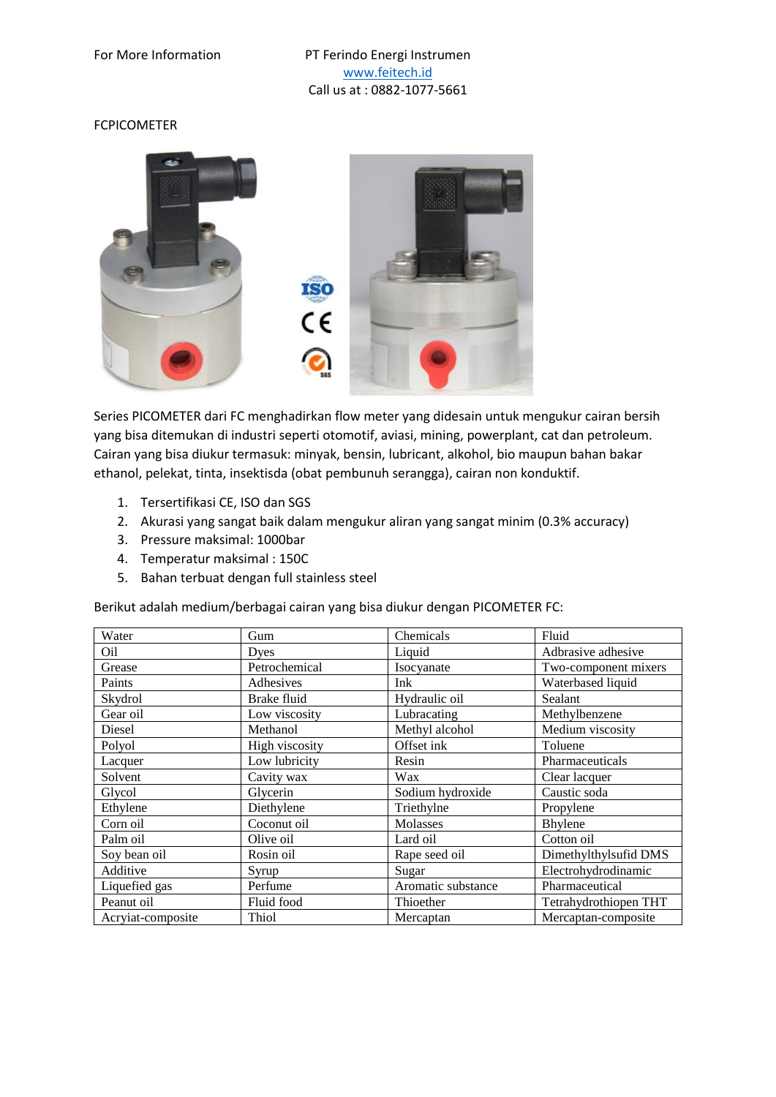## FCPICOMETER



Series PICOMETER dari FC menghadirkan flow meter yang didesain untuk mengukur cairan bersih yang bisa ditemukan di industri seperti otomotif, aviasi, mining, powerplant, cat dan petroleum. Cairan yang bisa diukur termasuk: minyak, bensin, lubricant, alkohol, bio maupun bahan bakar ethanol, pelekat, tinta, insektisda (obat pembunuh serangga), cairan non konduktif.

- 1. Tersertifikasi CE, ISO dan SGS
- 2. Akurasi yang sangat baik dalam mengukur aliran yang sangat minim (0.3% accuracy)
- 3. Pressure maksimal: 1000bar
- 4. Temperatur maksimal : 150C
- 5. Bahan terbuat dengan full stainless steel

Berikut adalah medium/berbagai cairan yang bisa diukur dengan PICOMETER FC:

| Water             | Gum            | Chemicals          | Fluid                 |
|-------------------|----------------|--------------------|-----------------------|
| Oil               | Dyes           | Liquid             | Adbrasive adhesive    |
| Grease            | Petrochemical  | Isocyanate         | Two-component mixers  |
| Paints            | Adhesives      | Ink                | Waterbased liquid     |
| Skydrol           | Brake fluid    | Hydraulic oil      | Sealant               |
| Gear oil          | Low viscosity  | Lubracating        | Methylbenzene         |
| Diesel            | Methanol       | Methyl alcohol     | Medium viscosity      |
| Polyol            | High viscosity | Offset ink         | Toluene               |
| Lacquer           | Low lubricity  | Resin              | Pharmaceuticals       |
| Solvent           | Cavity wax     | Wax                | Clear lacquer         |
| Glycol            | Glycerin       | Sodium hydroxide   | Caustic soda          |
| Ethylene          | Diethylene     | Triethylne         | Propylene             |
| Corn oil          | Coconut oil    | Molasses           | Bhylene               |
| Palm oil          | Olive oil      | Lard oil           | Cotton oil            |
| Soy bean oil      | Rosin oil      | Rape seed oil      | Dimethylthylsufid DMS |
| Additive          | Syrup          | Sugar              | Electrohydrodinamic   |
| Liquefied gas     | Perfume        | Aromatic substance | Pharmaceutical        |
| Peanut oil        | Fluid food     | Thioether          | Tetrahydrothiopen THT |
| Acryiat-composite | Thiol          | Mercaptan          | Mercaptan-composite   |